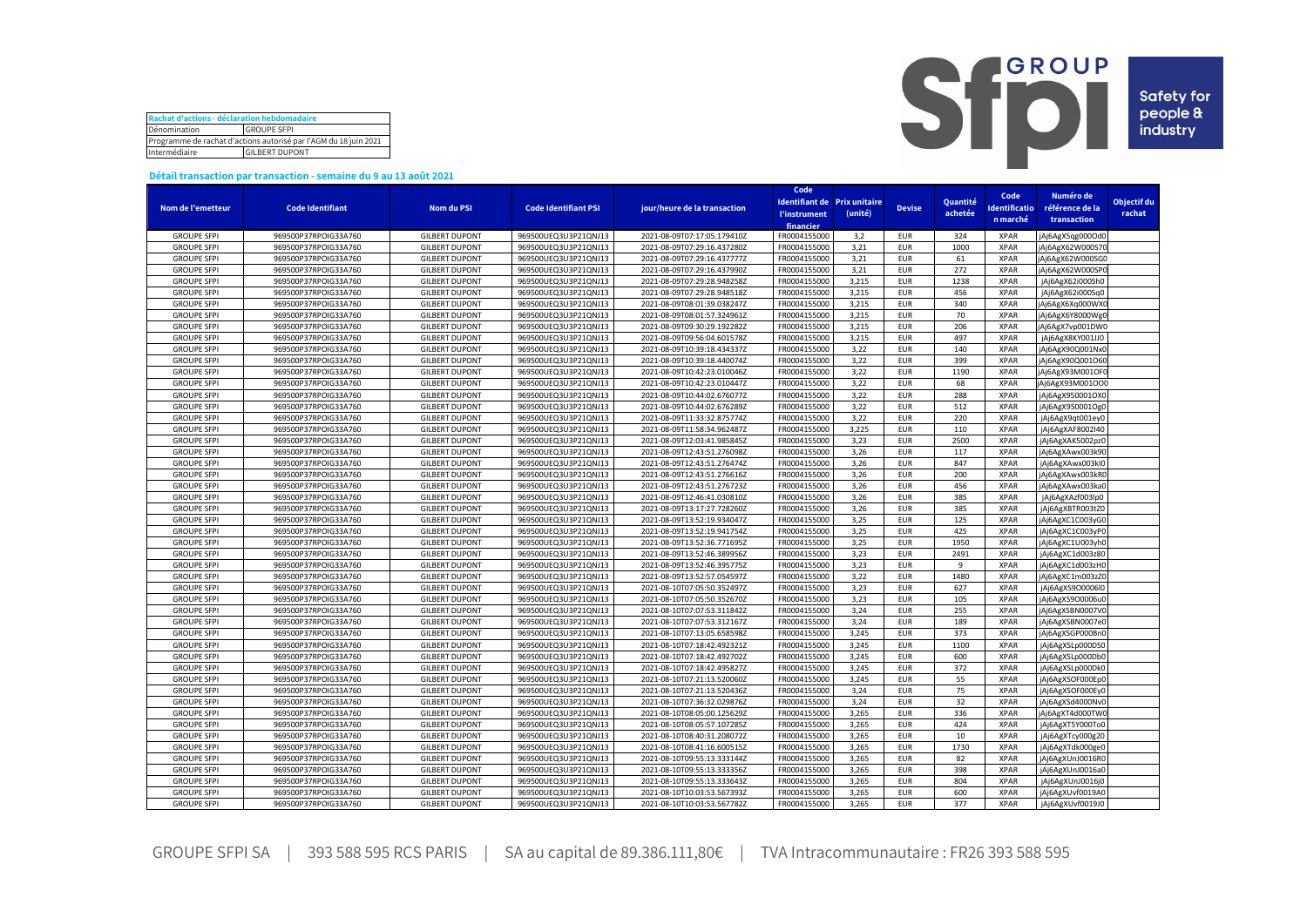| Rachat d'actions - déclaration hebdomadaire                      |                    |  |  |  |  |  |  |
|------------------------------------------------------------------|--------------------|--|--|--|--|--|--|
| Dénomination                                                     | <b>GROUPE SFPI</b> |  |  |  |  |  |  |
| Programme de rachat d'actions autorisé par l'AGM du 18 juin 2021 |                    |  |  |  |  |  |  |
| Intermédiaire<br><b>GILBERT DUPONT</b>                           |                    |  |  |  |  |  |  |



## **Détail transaction par transaction - semaine du 9 au 13 août 2021**

|                    |                         |                       |                                              |                              | Code         |                              |               |          | Code         | Numéro de        |             |
|--------------------|-------------------------|-----------------------|----------------------------------------------|------------------------------|--------------|------------------------------|---------------|----------|--------------|------------------|-------------|
|                    |                         |                       |                                              |                              |              | Identifiant de Prix unitaire | <b>Devise</b> | Quantité | dentificatio | référence de la  | Objectif du |
| Nom de l'emetteur  | <b>Code Identifiant</b> | Nom du PSI            | <b>Code Identifiant PSI</b>                  | jour/heure de la transaction | l'instrument | (unité)                      |               | achetée  |              |                  | rachat      |
|                    |                         |                       |                                              |                              | financier    |                              |               |          | n marché     | transaction      |             |
| <b>GROUPE SFPI</b> | 969500P37RPOIG33A760    | <b>GILBERT DUPONT</b> | 969500UEQ3U3P21QNJ13                         | 2021-08-09T07:17:05.179410Z  | FR0004155000 | 3,2                          | <b>EUR</b>    | 324      | <b>XPAR</b>  | Ai6AgX5qg000Od0  |             |
| <b>GROUPE SFPI</b> | 969500P37RPOIG33A760    | <b>GILBERT DUPONT</b> | 969500UEQ3U3P21QNJ13                         | 2021-08-09T07:29:16.437280Z  | FR0004155000 | 3,21                         | <b>EUR</b>    | 1000     | <b>XPAR</b>  | jAj6AgX62W000S70 |             |
| <b>GROUPE SFPI</b> | 969500P37RPOIG33A760    | <b>GILBERT DUPONT</b> | 969500UEQ3U3P21QNJ13                         | 2021-08-09T07:29:16.437777Z  | FR000415500  | 3,21                         | <b>EUR</b>    | 61       | <b>XPAR</b>  | jAj6AgX62W000SG0 |             |
| <b>GROUPE SFPI</b> | 969500P37RPOIG33A760    | <b>GILBERT DUPONT</b> | 969500UEQ3U3P21QNJ13                         | 2021-08-09T07:29:16.437990Z  | FR0004155000 | 3,21                         | <b>EUR</b>    | 272      | <b>XPAR</b>  | jAj6AgX62W000SP0 |             |
| <b>GROUPE SFPI</b> | 969500P37RPOIG33A760    | <b>GILBERT DUPONT</b> | 969500UEQ3U3P21QNJ13                         | 2021-08-09T07:29:28.948258Z  | FR0004155000 | 3,215                        | <b>EUR</b>    | 1238     | <b>XPAR</b>  | jAj6AgX62i000Sh0 |             |
| <b>GROUPE SFPI</b> | 969500P37RPOIG33A760    | <b>GILBERT DUPONT</b> | 969500UEQ3U3P21QNJ13                         | 2021-08-09T07:29:28.948518Z  | FR000415500  | 3,215                        | <b>EUR</b>    | 456      | <b>XPAR</b>  | jAj6AgX62i000Sq0 |             |
| <b>GROUPE SFPI</b> | 969500P37RPOIG33A760    | <b>GILBERT DUPONT</b> | 969500UEQ3U3P21QNJ13                         | 2021-08-09T08:01:39.038247Z  | FR000415500  | 3,215                        | <b>EUR</b>    | 340      | <b>XPAR</b>  | jAj6AgX6Xq000WXC |             |
| <b>GROUPE SFPI</b> | 969500P37RPOIG33A760    | <b>GILBERT DUPONT</b> | 969500UEQ3U3P21QNJ13                         | 2021-08-09T08:01:57.324961Z  | FR0004155000 | 3,215                        | <b>EUR</b>    | 70       | <b>XPAR</b>  | jAj6AgX6Y8000Wg0 |             |
| <b>GROUPE SFPI</b> | 969500P37RPOIG33A760    | <b>GILBERT DUPONT</b> | 969500UEQ3U3P21QNJ13                         | 2021-08-09T09:30:29.192282Z  | FR0004155000 | 3,215                        | <b>EUR</b>    | 206      | <b>XPAR</b>  | jAj6AgX7vp001DW0 |             |
| <b>GROUPE SFPI</b> | 969500P37RPOIG33A760    | <b>GILBERT DUPONT</b> | 969500UEQ3U3P21QNJ13                         | 2021-08-09T09:56:04.601578Z  | FR000415500  | 3,215                        | <b>EUR</b>    | 497      | <b>XPAR</b>  | jAj6AgX8KY001JJ0 |             |
| <b>GROUPE SFPI</b> | 969500P37RPOIG33A760    | <b>GILBERT DUPONT</b> | 969500UEQ3U3P21QNJ13                         | 2021-08-09T10:39:18.434337Z  | FR0004155000 | 3,22                         | <b>EUR</b>    | 140      | <b>XPAR</b>  | jAj6AgX90Q001Nx0 |             |
| <b>GROUPE SFPI</b> | 969500P37RPOIG33A760    | <b>GILBERT DUPONT</b> | 969500UEQ3U3P21QNJ13                         | 2021-08-09T10:39:18.440074Z  | FR0004155000 | 3,22                         | <b>EUR</b>    | 399      | <b>XPAR</b>  | jAj6AgX90Q001O60 |             |
| <b>GROUPE SFPI</b> | 969500P37RPOIG33A760    | <b>GILBERT DUPONT</b> | 969500UEQ3U3P21QNJ13                         | 2021-08-09T10:42:23.010046Z  | FR0004155000 | 3,22                         | <b>EUR</b>    | 1190     | <b>XPAR</b>  | jAj6AgX93M001OFC |             |
| <b>GROUPE SFPI</b> | 969500P37RPOIG33A760    | <b>GILBERT DUPONT</b> | 969500UEQ3U3P21QNJ13                         | 2021-08-09T10:42:23.010447Z  | FR0004155000 | 3,22                         | <b>EUR</b>    | 68       | <b>XPAR</b>  | jAj6AgX93M001OO0 |             |
| <b>GROUPE SFPI</b> | 969500P37RPOIG33A760    | <b>GILBERT DUPONT</b> | 969500UEQ3U3P21QNJ13                         | 2021-08-09T10:44:02.676077Z  | FR0004155000 | 3,22                         | <b>EUR</b>    | 288      | <b>XPAR</b>  | jAj6AgX950001OX0 |             |
| <b>GROUPE SFPI</b> | 969500P37RPOIG33A760    | <b>GILBERT DUPONT</b> | 969500UEQ3U3P21QNJ13                         | 2021-08-09T10:44:02.676289Z  | FR0004155000 | 3,22                         | <b>EUR</b>    | 512      | <b>XPAR</b>  | jAj6AgX950001Og0 |             |
| <b>GROUPE SFPI</b> |                         | <b>GILBERT DUPONT</b> |                                              | 2021-08-09T11:33:32.875774Z  | FR0004155000 | 3,22                         | <b>EUR</b>    | 220      | <b>XPAR</b>  |                  |             |
|                    | 969500P37RPOIG33A760    | <b>GILBERT DUPONT</b> | 969500UEQ3U3P21QNJ13<br>969500UEQ3U3P21QNJ13 |                              |              | 3,225                        |               |          | <b>XPAR</b>  | jAj6AgX9qt001ey0 |             |
| <b>GROUPE SFPI</b> | 969500P37RPOIG33A760    |                       |                                              | 2021-08-09T11:58:34.962487Z  | FR0004155000 |                              | <b>EUR</b>    | 110      |              | jAj6AgXAF8002l40 |             |
| <b>GROUPE SFPI</b> | 969500P37RPOIG33A760    | <b>GILBERT DUPONT</b> | 969500UEQ3U3P21QNJ13                         | 2021-08-09T12:03:41.985845Z  | FR0004155000 | 3,23                         | <b>EUR</b>    | 2500     | <b>XPAR</b>  | jAj6AgXAK5002pz0 |             |
| <b>GROUPE SFPI</b> | 969500P37RPOIG33A760    | <b>GILBERT DUPONT</b> | 969500UEQ3U3P21QNJ13                         | 2021-08-09T12:43:51.276098Z  | FR0004155000 | 3,26                         | <b>EUR</b>    | 117      | <b>XPAR</b>  | jAj6AgXAwx003k90 |             |
| <b>GROUPE SFPI</b> | 969500P37RPOIG33A760    | <b>GILBERT DUPONT</b> | 969500UEQ3U3P21QNJ13                         | 2021-08-09T12:43:51.276474Z  | FR0004155000 | 3,26                         | <b>EUR</b>    | 847      | <b>XPAR</b>  | jAj6AgXAwx003kl0 |             |
| <b>GROUPE SFPI</b> | 969500P37RPOIG33A760    | <b>GILBERT DUPONT</b> | 969500UEQ3U3P21QNJ13                         | 2021-08-09T12:43:51.276616Z  | FR0004155000 | 3,26                         | <b>EUR</b>    | 200      | <b>XPAR</b>  | jAj6AgXAwx003kR0 |             |
| <b>GROUPE SFPI</b> | 969500P37RPOIG33A760    | <b>GILBERT DUPONT</b> | 969500UEQ3U3P21QNJ13                         | 2021-08-09T12:43:51.276723Z  | FR0004155000 | 3,26                         | <b>EUR</b>    | 456      | <b>XPAR</b>  | jAj6AgXAwx003ka0 |             |
| <b>GROUPE SFPI</b> | 969500P37RPOIG33A760    | <b>GILBERT DUPONT</b> | 969500UEQ3U3P21QNJ13                         | 2021-08-09T12:46:41.030810Z  | FR0004155000 | 3,26                         | <b>EUR</b>    | 385      | <b>XPAR</b>  | jAj6AgXAzf003lp0 |             |
| <b>GROUPE SFPI</b> | 969500P37RPOIG33A760    | <b>GILBERT DUPONT</b> | 969500UEQ3U3P21QNJ13                         | 2021-08-09T13:17:27.728260Z  | FR0004155000 | 3,26                         | <b>EUR</b>    | 385      | <b>XPAR</b>  | jAj6AgXBTR003tZ0 |             |
| <b>GROUPE SFPI</b> | 969500P37RPOIG33A760    | <b>GILBERT DUPONT</b> | 969500UEQ3U3P21QNJ13                         | 2021-08-09T13:52:19.934047Z  | FR0004155000 | 3,25                         | <b>EUR</b>    | 125      | <b>XPAR</b>  | jAj6AgXC1C003yG0 |             |
| <b>GROUPE SFPI</b> | 969500P37RPOIG33A760    | <b>GILBERT DUPONT</b> | 969500UEQ3U3P21QNJ13                         | 2021-08-09T13:52:19.941754Z  | FR0004155000 | 3,25                         | <b>EUR</b>    | 425      | <b>XPAR</b>  | jAj6AgXC1C003yP0 |             |
| <b>GROUPE SFPI</b> | 969500P37RPOIG33A760    | <b>GILBERT DUPONT</b> | 969500UEQ3U3P21QNJ13                         | 2021-08-09T13:52:36.771695Z  | FR0004155000 | 3,25                         | <b>EUR</b>    | 1950     | <b>XPAR</b>  | jAj6AgXC1U003yh0 |             |
| <b>GROUPE SFPI</b> | 969500P37RPOIG33A760    | <b>GILBERT DUPONT</b> | 969500UEQ3U3P21QNJ13                         | 2021-08-09T13:52:46.389956Z  | FR0004155000 | 3,23                         | <b>EUR</b>    | 2491     | <b>XPAR</b>  | jAj6AgXC1d003z80 |             |
| <b>GROUPE SFPI</b> | 969500P37RPOIG33A760    | <b>GILBERT DUPONT</b> | 969500UEQ3U3P21QNJ13                         | 2021-08-09T13:52:46.395775Z  | FR0004155000 | 3,23                         | <b>EUR</b>    | 9        | <b>XPAR</b>  | jAj6AgXC1d003zH0 |             |
| <b>GROUPE SFPI</b> | 969500P37RPOIG33A760    | <b>GILBERT DUPONT</b> | 969500UEQ3U3P21QNJ13                         | 2021-08-09T13:52:57.054597Z  | FR0004155000 | 3,22                         | <b>EUR</b>    | 1480     | <b>XPAR</b>  | jAj6AgXC1m003zZ0 |             |
| <b>GROUPE SFPI</b> | 969500P37RPOIG33A760    | <b>GILBERT DUPONT</b> | 969500UEQ3U3P21QNJ13                         | 2021-08-10T07:05:50.352497Z  | FR0004155000 | 3,23                         | <b>EUR</b>    | 627      | <b>XPAR</b>  | jAj6AgXS9O0006l0 |             |
| <b>GROUPE SFPI</b> | 969500P37RPOIG33A760    | <b>GILBERT DUPONT</b> | 969500UEQ3U3P21QNJ13                         | 2021-08-10T07:05:50.352670Z  | FR0004155000 | 3,23                         | <b>EUR</b>    | 105      | <b>XPAR</b>  | jAj6AgXS9O0006u0 |             |
| <b>GROUPE SFPI</b> | 969500P37RPOIG33A760    | <b>GILBERT DUPONT</b> | 969500UEQ3U3P21QNJ13                         | 2021-08-10T07:07:53.311842Z  | FR0004155000 | 3,24                         | <b>EUR</b>    | 255      | <b>XPAR</b>  | jAj6AgXSBN0007V0 |             |
| <b>GROUPE SFPI</b> | 969500P37RPOIG33A760    | <b>GILBERT DUPONT</b> | 969500UEQ3U3P21QNJ13                         | 2021-08-10T07:07:53.312167Z  | FR0004155000 | 3,24                         | <b>EUR</b>    | 189      | <b>XPAR</b>  | jAj6AgXSBN0007eC |             |
| <b>GROUPE SFPI</b> | 969500P37RPOIG33A760    | <b>GILBERT DUPONT</b> | 969500UEQ3U3P21QNJ13                         | 2021-08-10T07:13:05.658598Z  | FR0004155000 | 3,245                        | <b>EUR</b>    | 373      | <b>XPAR</b>  | jAj6AgXSGP000Bn0 |             |
| <b>GROUPE SFPI</b> | 969500P37RPOIG33A760    | <b>GILBERT DUPONT</b> | 969500UEQ3U3P21QNJ13                         | 2021-08-10T07:18:42.492321Z  | FR0004155000 | 3,245                        | <b>EUR</b>    | 1100     | <b>XPAR</b>  | jAj6AgXSLp000DS0 |             |
| <b>GROUPE SFPI</b> | 969500P37RPOIG33A760    | <b>GILBERT DUPONT</b> | 969500UEQ3U3P21QNJ13                         | 2021-08-10T07:18:42.492702Z  | FR0004155000 | 3,245                        | <b>EUR</b>    | 600      | <b>XPAR</b>  | jAj6AgXSLp000Db0 |             |
| <b>GROUPE SFPI</b> | 969500P37RPOIG33A760    | <b>GILBERT DUPONT</b> | 969500UEQ3U3P21QNJ13                         | 2021-08-10T07:18:42.495827Z  | FR0004155000 | 3,245                        | <b>EUR</b>    | 372      | <b>XPAR</b>  | jAj6AgXSLp000Dk0 |             |
| <b>GROUPE SFPI</b> | 969500P37RPOIG33A760    | <b>GILBERT DUPONT</b> | 969500UEQ3U3P21QNJ13                         | 2021-08-10T07:21:13.520060Z  | FR0004155000 | 3,245                        | <b>EUR</b>    | 55       | <b>XPAR</b>  | jAj6AgXSOF000Ep0 |             |
| <b>GROUPE SFPI</b> | 969500P37RPOIG33A760    | <b>GILBERT DUPONT</b> | 969500UEQ3U3P21QNJ13                         | 2021-08-10T07:21:13.520436Z  | FR0004155000 | 3,24                         | <b>EUR</b>    | 75       | <b>XPAR</b>  | jAj6AgXSOF000Ey0 |             |
| <b>GROUPE SFPI</b> | 969500P37RPOIG33A760    | <b>GILBERT DUPONT</b> | 969500UEQ3U3P21QNJ13                         | 2021-08-10T07:36:32.029876Z  | FR0004155000 | 3,24                         | <b>EUR</b>    | 32       | <b>XPAR</b>  | jAj6AgXSd4000Nv0 |             |
| <b>GROUPE SFPI</b> | 969500P37RPOIG33A760    | <b>GILBERT DUPONT</b> | 969500UEQ3U3P21QNJ13                         | 2021-08-10T08:05:00.125629Z  | FR0004155000 | 3,265                        | <b>EUR</b>    | 336      | <b>XPAR</b>  | jAj6AgXT4d000TW0 |             |
| <b>GROUPE SFPI</b> | 969500P37RPOIG33A760    | <b>GILBERT DUPONT</b> | 969500UEQ3U3P21QNJ13                         | 2021-08-10T08:05:57.107285Z  | FR0004155000 | 3,265                        | <b>EUR</b>    | 424      | <b>XPAR</b>  | jAj6AgXT5Y000To0 |             |
| <b>GROUPE SFPI</b> | 969500P37RPOIG33A760    | <b>GILBERT DUPONT</b> | 969500UEQ3U3P21QNJ13                         | 2021-08-10T08:40:31.208072Z  | FR0004155000 | 3,265                        | <b>EUR</b>    | 10       | <b>XPAR</b>  | jAj6AgXTcy000g20 |             |
| <b>GROUPE SFPI</b> | 969500P37RPOIG33A760    | <b>GILBERT DUPONT</b> | 969500UEQ3U3P21QNJ13                         | 2021-08-10T08:41:16.600515Z  | FR0004155000 | 3.265                        | <b>EUR</b>    | 1730     | <b>XPAR</b>  | jAj6AgXTdk000ge0 |             |
| <b>GROUPE SFPI</b> | 969500P37RPOIG33A760    | <b>GILBERT DUPONT</b> | 969500UEQ3U3P21QNJ13                         | 2021-08-10T09:55:13.333144Z  | FR0004155000 | 3,265                        | <b>EUR</b>    | 82       | <b>XPAR</b>  | jAj6AgXUnJ0016R0 |             |
| <b>GROUPE SFPI</b> | 969500P37RPOIG33A760    | <b>GILBERT DUPONT</b> | 969500UEQ3U3P21QNJ13                         | 2021-08-10T09:55:13.333356Z  | FR000415500  | 3,265                        | <b>EUR</b>    | 398      | <b>XPAR</b>  | jAj6AgXUnJ0016a0 |             |
| <b>GROUPE SFPI</b> | 969500P37RPOIG33A760    | <b>GILBERT DUPONT</b> | 969500UEQ3U3P21QNJ13                         | 2021-08-10T09:55:13.333643Z  | FR0004155000 | 3,265                        | <b>EUR</b>    | 804      | <b>XPAR</b>  | jAj6AgXUnJ0016j0 |             |
|                    |                         |                       |                                              |                              | FR0004155000 | 3.265                        | <b>EUR</b>    | 600      | <b>XPAR</b>  |                  |             |
| <b>GROUPE SFPI</b> | 969500P37RPOIG33A760    | <b>GILBERT DUPONT</b> | 969500UEQ3U3P21QNJ13                         | 2021-08-10T10:03:53.567393Z  |              |                              |               |          |              | jAj6AgXUvf0019A0 |             |
| <b>GROUPE SFPI</b> | 969500P37RPOIG33A760    | <b>GILBERT DUPONT</b> | 969500UEQ3U3P21QNJ13                         | 2021-08-10T10:03:53.567782Z  | FR0004155000 | 3,265                        | <b>EUR</b>    | 377      | <b>XPAR</b>  | jAj6AgXUvf0019J0 |             |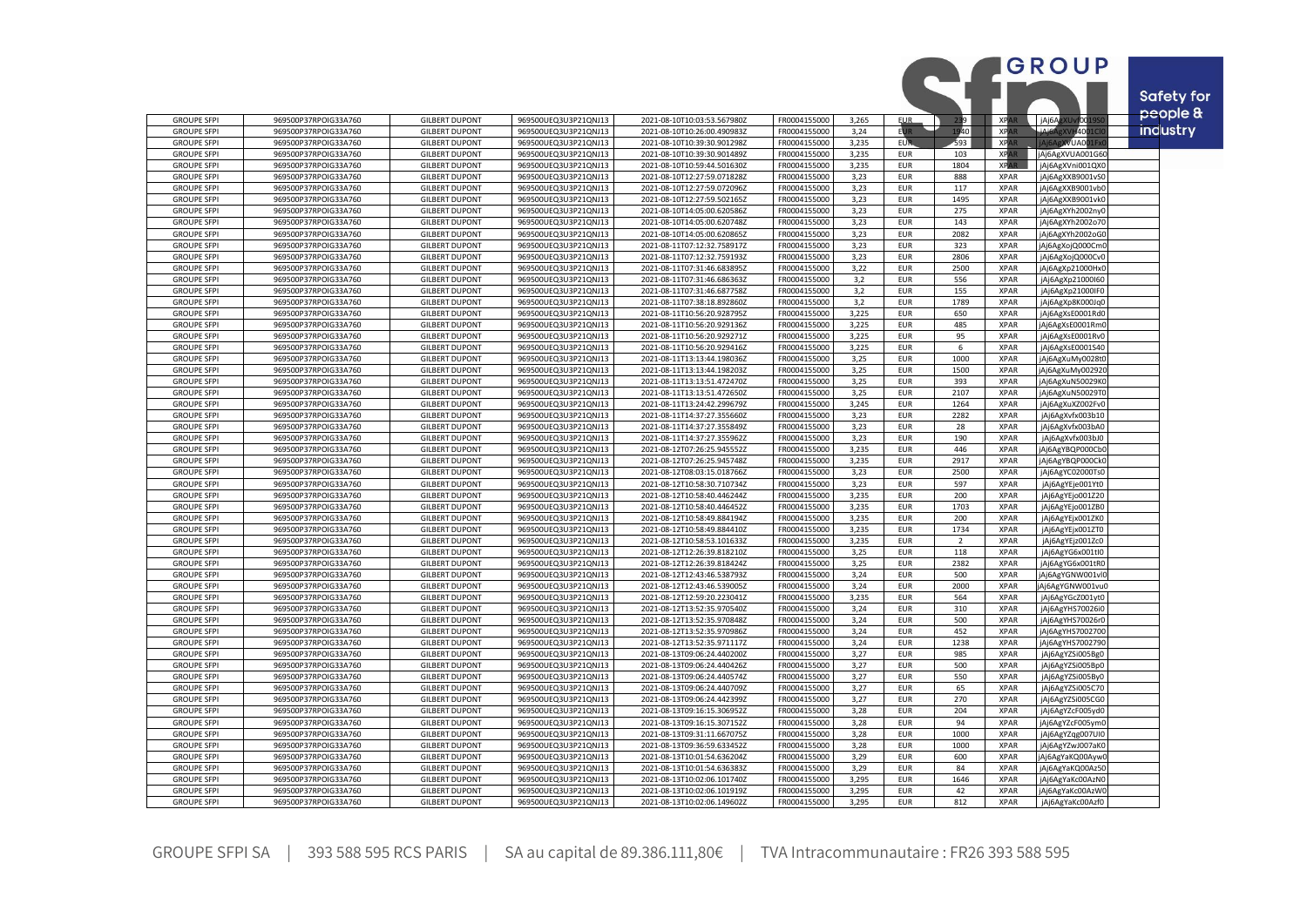|                                          |                                              |                                                |                                              |                                                            |                              |                |                          |                |                            | <b>GROUP</b>                         |                   |
|------------------------------------------|----------------------------------------------|------------------------------------------------|----------------------------------------------|------------------------------------------------------------|------------------------------|----------------|--------------------------|----------------|----------------------------|--------------------------------------|-------------------|
|                                          |                                              |                                                |                                              |                                                            |                              |                |                          |                |                            |                                      |                   |
|                                          |                                              |                                                |                                              |                                                            |                              |                |                          |                |                            |                                      | <b>Safety for</b> |
| <b>GROUPE SFPI</b>                       | 969500P37RPOIG33A760                         | <b>GILBERT DUPONT</b>                          | 969500UEQ3U3P21QNJ13                         | 2021-08-10T10:03:53.567980Z                                | FR0004155000                 | 3,265          | EUR.                     | <b>B</b> 9 I   | <b>XPA</b>                 | jAj6AgXUvf00:                        | people &          |
| <b>GROUPE SFPI</b>                       | 969500P37RPOIG33A760                         | <b>GILBERT DUPONT</b>                          | 969500UEQ3U3P21QNJ13                         | 2021-08-10T10:26:00.490983Z                                | FR0004155000                 | 3,24           |                          | 740 I          | XP <sub>A</sub>            | <b>JAJAACXI</b><br>H400              | industry          |
| <b>GROUPE SFPI</b>                       | 969500P37RPOIG33A760                         | <b>GILBERT DUPONT</b>                          | 969500UEQ3U3P21QNJ13                         | 2021-08-10T10:39:30.901298Z                                | FR0004155000                 | 3,235          | EUR                      | 593            | <b>XPAR</b>                | <b>XVUA00</b><br><b>iAi6A</b>        |                   |
| <b>GROUPE SFPI</b>                       | 969500P37RPOIG33A760                         | <b>GILBERT DUPONT</b>                          | 969500UEQ3U3P21QNJ13                         | 2021-08-10T10:39:30.901489Z                                | FR0004155000                 | 3,235          | <b>EUR</b>               | 103            | <b>XPAR</b>                | jAj6AgXVUA001G60                     |                   |
| <b>GROUPE SFPI</b>                       | 969500P37RPOIG33A760                         | <b>GILBERT DUPONT</b>                          | 969500UEQ3U3P21QNJ13                         | 2021-08-10T10:59:44.501630Z                                | FR0004155000                 | 3,235          | <b>EUR</b>               | 1804           | <b>XPAR</b>                | jAj6AgXVni001QXC                     |                   |
| <b>GROUPE SFPI</b><br><b>GROUPE SFPI</b> | 969500P37RPOIG33A760<br>969500P37RPOIG33A760 | <b>GILBERT DUPONT</b><br><b>GILBERT DUPONT</b> | 969500UEQ3U3P21QNJ13<br>969500UEQ3U3P21QNJ13 | 2021-08-10T12:27:59.071828Z<br>2021-08-10T12:27:59.072096Z | FR0004155000<br>FR0004155000 | 3,23<br>3,23   | <b>EUR</b><br><b>EUR</b> | 888<br>117     | <b>XPAR</b><br><b>XPAR</b> | jAj6AgXXB9001vS0<br>jAj6AgXXB9001vb0 |                   |
| <b>GROUPE SFPI</b>                       | 969500P37RPOIG33A760                         | <b>GILBERT DUPONT</b>                          | 969500UEQ3U3P21QNJ13                         | 2021-08-10T12:27:59.502165Z                                | FR0004155000                 | 3,23           | <b>EUR</b>               | 1495           | <b>XPAR</b>                | jAj6AgXXB9001vkC                     |                   |
| <b>GROUPE SFPI</b>                       | 969500P37RPOIG33A760                         | <b>GILBERT DUPONT</b>                          | 969500UEQ3U3P21QNJ13                         | 2021-08-10T14:05:00.620586Z                                | FR0004155000                 | 3,23           | <b>EUR</b>               | 275            | <b>XPAR</b>                | jAj6AgXYh2002ny                      |                   |
| <b>GROUPE SFPI</b>                       | 969500P37RPOIG33A760                         | <b>GILBERT DUPONT</b>                          | 969500UEQ3U3P21QNJ13                         | 2021-08-10T14:05:00.620748Z                                | FR0004155000                 | 3,23           | <b>EUR</b>               | 143            | <b>XPAR</b>                | jAj6AgXYh2002o70                     |                   |
| <b>GROUPE SFPI</b>                       | 969500P37RPOIG33A760                         | <b>GILBERT DUPONT</b>                          | 969500UEQ3U3P21QNJ13                         | 2021-08-10T14:05:00.620865Z                                | FR0004155000                 | 3,23           | <b>EUR</b>               | 2082           | <b>XPAR</b>                | jAj6AgXYh2002oG0                     |                   |
| <b>GROUPE SFPI</b>                       | 969500P37RPOIG33A760                         | <b>GILBERT DUPONT</b>                          | 969500UEQ3U3P21QNJ13                         | 2021-08-11T07:12:32.758917Z                                | FR0004155000                 | 3,23           | <b>EUR</b>               | 323            | <b>XPAR</b>                | jAj6AgXojQ000Cm                      |                   |
| <b>GROUPE SFPI</b>                       | 969500P37RPOIG33A760                         | <b>GILBERT DUPONT</b>                          | 969500UEQ3U3P21QNJ13                         | 2021-08-11T07:12:32.759193Z                                | FR0004155000                 | 3,23           | <b>EUR</b>               | 2806           | <b>XPAR</b>                | jAj6AgXojQ000Cv0                     |                   |
| <b>GROUPE SFPI</b>                       | 969500P37RPOIG33A760                         | <b>GILBERT DUPONT</b>                          | 969500UEQ3U3P21QNJ13                         | 2021-08-11T07:31:46.683895Z                                | FR0004155000                 | 3,22           | <b>EUR</b>               | 2500           | <b>XPAR</b>                | jAj6AgXp21000HxC                     |                   |
| <b>GROUPE SFPI</b>                       | 969500P37RPOIG33A760                         | <b>GILBERT DUPONT</b>                          | 969500UEQ3U3P21QNJ13                         | 2021-08-11T07:31:46.686363Z                                | FR0004155000                 | 3,2            | <b>EUR</b>               | 556            | <b>XPAR</b>                | jAj6AgXp21000I60                     |                   |
| <b>GROUPE SFP</b><br><b>GROUPE SFPI</b>  | 969500P37RPOIG33A760<br>969500P37RPOIG33A760 | <b>GILBERT DUPONT</b><br><b>GILBERT DUPONT</b> | 969500UEQ3U3P21QNJ13<br>969500UEQ3U3P21QNJ13 | 2021-08-11T07:31:46.6877582<br>2021-08-11T07:38:18.892860Z | FR0004155000<br>FR0004155000 | 3,2<br>3,2     | <b>EUR</b><br><b>EUR</b> | 155<br>1789    | <b>XPAR</b><br><b>XPAR</b> | jAj6AgXp21000IF0                     |                   |
| <b>GROUPE SFPI</b>                       | 969500P37RPOIG33A760                         | <b>GILBERT DUPONT</b>                          | 969500UEQ3U3P21QNJ13                         | 2021-08-11T10:56:20.928795Z                                | FR0004155000                 | 3,225          | <b>EUR</b>               | 650            | <b>XPAR</b>                | jAj6AgXp8K000Jq0<br>jAj6AgXsE0001Rd0 |                   |
| <b>GROUPE SFPI</b>                       | 969500P37RPOIG33A760                         | <b>GILBERT DUPONT</b>                          | 969500UEQ3U3P21QNJ13                         | 2021-08-11T10:56:20.929136Z                                | FR0004155000                 | 3,225          | <b>EUR</b>               | 485            | <b>XPAR</b>                | jAj6AgXsE0001Rm0                     |                   |
| <b>GROUPE SFP</b>                        | 969500P37RPOIG33A760                         | <b>GILBERT DUPONT</b>                          | 969500UEQ3U3P21QNJ13                         | 2021-08-11T10:56:20.9292712                                | FR0004155000                 | 3,225          | <b>EUR</b>               | 95             | <b>XPAR</b>                | jAj6AgXsE0001RvC                     |                   |
| <b>GROUPE SFPI</b>                       | 969500P37RPOIG33A760                         | <b>GILBERT DUPONT</b>                          | 969500UEQ3U3P21QNJ13                         | 2021-08-11T10:56:20.929416Z                                | FR0004155000                 | 3,225          | <b>EUR</b>               | 6              | <b>XPAR</b>                | jAj6AgXsE0001S40                     |                   |
| <b>GROUPE SFPI</b>                       | 969500P37RPOIG33A760                         | <b>GILBERT DUPONT</b>                          | 969500UEQ3U3P21QNJ13                         | 2021-08-11T13:13:44.198036Z                                | FR0004155000                 | 3,25           | <b>EUR</b>               | 1000           | <b>XPAR</b>                | jAj6AgXuMy0028t0                     |                   |
| <b>GROUPE SFPI</b>                       | 969500P37RPOIG33A760                         | <b>GILBERT DUPONT</b>                          | 969500UEQ3U3P21QNJ13                         | 2021-08-11T13:13:44.198203Z                                | FR0004155000                 | 3,25           | <b>EUR</b>               | 1500           | <b>XPAR</b>                | jAj6AgXuMy002920                     |                   |
| <b>GROUPE SFPI</b>                       | 969500P37RPOIG33A760                         | <b>GILBERT DUPONT</b>                          | 969500UEQ3U3P21QNJ13                         | 2021-08-11T13:13:51.472470Z                                | FR0004155000                 | 3,25           | <b>EUR</b>               | 393            | <b>XPAR</b>                | jAj6AgXuN50029KI                     |                   |
| <b>GROUPE SFPI</b>                       | 969500P37RPOIG33A760                         | <b>GILBERT DUPONT</b>                          | 969500UEQ3U3P21QNJ13                         | 2021-08-11T13:13:51.472650Z                                | FR0004155000                 | 3,25           | <b>EUR</b>               | 2107           | <b>XPAR</b>                | jAj6AgXuN50029T                      |                   |
| <b>GROUPE SFPI</b>                       | 969500P37RPOIG33A760                         | <b>GILBERT DUPONT</b><br><b>GILBERT DUPONT</b> | 969500UEQ3U3P21QNJ13                         | 2021-08-11T13:24:42.299679Z                                | FR0004155000                 | 3,245          | <b>EUR</b>               | 1264           | <b>XPAR</b><br><b>XPAR</b> | jAj6AgXuXZ002Fv0                     |                   |
| <b>GROUPE SFPI</b><br><b>GROUPE SFPI</b> | 969500P37RPOIG33A760<br>969500P37RPOIG33A760 | <b>GILBERT DUPONT</b>                          | 969500UEQ3U3P21QNJ13<br>969500UEQ3U3P21QNJ13 | 2021-08-11T14:37:27.355660Z<br>2021-08-11T14:37:27.355849Z | FR0004155000<br>FR0004155000 | 3,23<br>3,23   | <b>EUR</b><br><b>EUR</b> | 2282<br>28     | <b>XPAR</b>                | jAj6AgXvfx003b10<br>jAj6AgXvfx003bAC |                   |
| <b>GROUPE SFPI</b>                       | 969500P37RPOIG33A760                         | <b>GILBERT DUPONT</b>                          | 969500UEQ3U3P21QNJ13                         | 2021-08-11T14:37:27.355962Z                                | FR0004155000                 | 3,23           | <b>EUR</b>               | 190            | <b>XPAR</b>                | jAj6AgXvfx003bJ0                     |                   |
| <b>GROUPE SFPI</b>                       | 969500P37RPOIG33A760                         | <b>GILBERT DUPONT</b>                          | 969500UEQ3U3P21QNJ13                         | 2021-08-12T07:26:25.945552Z                                | FR0004155000                 | 3,235          | <b>EUR</b>               | 446            | <b>XPAR</b>                | jAj6AgYBQP000Cb                      |                   |
| <b>GROUPE SFPI</b>                       | 969500P37RPOIG33A760                         | <b>GILBERT DUPONT</b>                          | 969500UEQ3U3P21QNJ13                         | 2021-08-12T07:26:25.945748Z                                | FR0004155000                 | 3,235          | <b>EUR</b>               | 2917           | <b>XPAR</b>                | jAj6AgYBQP000Ck                      |                   |
| <b>GROUPE SFP</b>                        | 969500P37RPOIG33A760                         | <b>GILBERT DUPONT</b>                          | 969500UEQ3U3P21QNJ13                         | 2021-08-12T08:03:15.018766Z                                | FR0004155000                 | 3,23           | <b>EUR</b>               | 2500           | <b>XPAR</b>                | jAj6AgYC02000TsC                     |                   |
| <b>GROUPE SFPI</b>                       | 969500P37RPOIG33A760                         | <b>GILBERT DUPONT</b>                          | 969500UEQ3U3P21QNJ13                         | 2021-08-12T10:58:30.710734Z                                | FR0004155000                 | 3,23           | <b>EUR</b>               | 597            | <b>XPAR</b>                | jAj6AgYEje001Yt0                     |                   |
| <b>GROUPE SFPI</b>                       | 969500P37RPOIG33A760                         | <b>GILBERT DUPONT</b>                          | 969500UEQ3U3P21QNJ13                         | 2021-08-12T10:58:40.446244Z                                | FR0004155000                 | 3,235          | <b>EUR</b>               | 200            | <b>XPAR</b>                | jAj6AgYEjo001Z20                     |                   |
| <b>GROUPE SFPI</b>                       | 969500P37RPOIG33A760                         | <b>GILBERT DUPONT</b>                          | 969500UEQ3U3P21QNJ13                         | 2021-08-12T10:58:40.446452Z                                | FR0004155000                 | 3,235          | <b>EUR</b>               | 1703           | <b>XPAR</b>                | jAj6AgYEjo001ZB0                     |                   |
| <b>GROUPE SFPI</b><br><b>GROUPE SFPI</b> | 969500P37RPOIG33A760<br>969500P37RPOIG33A760 | <b>GILBERT DUPONT</b><br><b>GILBERT DUPONT</b> | 969500UEQ3U3P21QNJ13<br>969500UEQ3U3P21QNJ13 | 2021-08-12T10:58:49.884194Z                                | FR0004155000<br>FR0004155000 | 3,235          | <b>EUR</b><br><b>EUR</b> | 200<br>1734    | <b>XPAR</b><br><b>XPAR</b> | jAj6AgYEjx001ZK0                     |                   |
| <b>GROUPE SFPI</b>                       | 969500P37RPOIG33A760                         | <b>GILBERT DUPONT</b>                          | 969500UEQ3U3P21QNJ13                         | 2021-08-12T10:58:49.884410Z<br>2021-08-12T10:58:53.101633Z | FR0004155000                 | 3,235<br>3,235 | <b>EUR</b>               | $\overline{2}$ | <b>XPAR</b>                | jAj6AgYEjx001ZT0<br>jAj6AgYEjz001Zc0 |                   |
| <b>GROUPE SFPI</b>                       | 969500P37RPOIG33A760                         | <b>GILBERT DUPONT</b>                          | 969500UEQ3U3P21QNJ13                         | 2021-08-12T12:26:39.818210Z                                | FR0004155000                 | 3,25           | <b>EUR</b>               | 118            | <b>XPAR</b>                | jAj6AgYG6x001tl0                     |                   |
| <b>GROUPE SFPI</b>                       | 969500P37RPOIG33A760                         | <b>GILBERT DUPONT</b>                          | 969500UEQ3U3P21QNJ13                         | 2021-08-12T12:26:39.818424Z                                | FR0004155000                 | 3,25           | <b>EUR</b>               | 2382           | <b>XPAR</b>                | jAj6AgYG6x001tR0                     |                   |
| <b>GROUPE SFPI</b>                       | 969500P37RPOIG33A760                         | <b>GILBERT DUPONT</b>                          | 969500UEQ3U3P21QNJ13                         | 2021-08-12T12:43:46.538793Z                                | FR0004155000                 | 3,24           | <b>EUR</b>               | 500            | <b>XPAR</b>                | Aj6AgYGNW001vlC                      |                   |
| <b>GROUPE SFPI</b>                       | 969500P37RPOIG33A760                         | <b>GILBERT DUPONT</b>                          | 969500UEQ3U3P21QNJ13                         | 2021-08-12T12:43:46.539005Z                                | FR0004155000                 | 3,24           | <b>EUR</b>               | 2000           | <b>XPAR</b>                | Aj6AgYGNW001vu0                      |                   |
| <b>GROUPE SFPI</b>                       | 969500P37RPOIG33A760                         | <b>GILBERT DUPONT</b>                          | 969500UEQ3U3P21QNJ13                         | 2021-08-12T12:59:20.223041Z                                | FR0004155000                 | 3,235          | <b>EUR</b>               | 564            | <b>XPAR</b>                | jAj6AgYGcZ001yt0                     |                   |
| <b>GROUPE SFPI</b>                       | 969500P37RPOIG33A760                         | <b>GILBERT DUPONT</b>                          | 969500UEQ3U3P21QNJ13                         | 2021-08-12T13:52:35.970540Z                                | FR0004155000                 | 3,24           | <b>EUR</b>               | 310            | <b>XPAR</b>                | jAj6AgYHS70026iC                     |                   |
| <b>GROUPE SFPI</b>                       | 969500P37RPOIG33A760                         | <b>GILBERT DUPONT</b>                          | 969500UEQ3U3P21QNJ13                         | 2021-08-12T13:52:35.970848Z                                | FR0004155000                 | 3,24           | <b>EUR</b>               | 500            | <b>XPAR</b>                | jAj6AgYHS70026r0                     |                   |
| <b>GROUPE SFPI</b>                       | 969500P37RPOIG33A760                         | <b>GILBERT DUPONT</b><br><b>GILBERT DUPONT</b> | 969500UEQ3U3P21QNJ13                         | 2021-08-12T13:52:35.970986Z                                | FR0004155000                 | 3,24           | <b>EUR</b><br><b>EUR</b> | 452            | <b>XPAR</b><br><b>XPAR</b> | jAj6AgYHS7002700                     |                   |
| <b>GROUPE SFPI</b><br><b>GROUPE SFP</b>  | 969500P37RPOIG33A760<br>969500P37RPOIG33A760 | <b>GILBERT DUPONT</b>                          | 969500UEQ3U3P21QNJ13<br>969500UEQ3U3P21QNJ13 | 2021-08-12T13:52:35.971117Z<br>2021-08-13T09:06:24.440200Z | FR0004155000<br>FR0004155000 | 3,24<br>3,27   | <b>EUR</b>               | 1238<br>985    | <b>XPAR</b>                | jAj6AgYHS7002790<br>jAj6AgYZSi005Bg0 |                   |
| <b>GROUPE SFPI</b>                       | 969500P37RPOIG33A760                         | <b>GILBERT DUPONT</b>                          | 969500UEQ3U3P21QNJ13                         | 2021-08-13T09:06:24.440426Z                                | FR0004155000                 | 3,27           | <b>EUR</b>               | 500            | <b>XPAR</b>                | jAj6AgYZSi005Bp0                     |                   |
| <b>GROUPE SFPI</b>                       | 969500P37RPOIG33A760                         | <b>GILBERT DUPONT</b>                          | 969500UEQ3U3P21QNJ13                         | 2021-08-13T09:06:24.440574Z                                | FR0004155000                 | 3,27           | <b>EUR</b>               | 550            | <b>XPAR</b>                | jAj6AgYZSi005By0                     |                   |
| <b>GROUPE SFPI</b>                       | 969500P37RPOIG33A760                         | <b>GILBERT DUPONT</b>                          | 969500UEQ3U3P21QNJ13                         | 2021-08-13T09:06:24.440709Z                                | FR0004155000                 | 3,27           | <b>EUR</b>               | 65             | <b>XPAR</b>                | jAj6AgYZSi005C70                     |                   |
| <b>GROUPE SFP</b>                        | 969500P37RPOIG33A760                         | <b>GILBERT DUPONT</b>                          | 969500UEQ3U3P21QNJ13                         | 2021-08-13T09:06:24.442399Z                                | FR0004155000                 | 3,27           | <b>EUR</b>               | 270            | <b>XPAR</b>                | jAj6AgYZSi005CGC                     |                   |
| <b>GROUPE SFPI</b>                       | 969500P37RPOIG33A760                         | <b>GILBERT DUPONT</b>                          | 969500UEQ3U3P21QNJ13                         | 2021-08-13T09:16:15.306952Z                                | FR0004155000                 | 3,28           | <b>EUR</b>               | 204            | <b>XPAR</b>                | jAj6AgYZcF005ydC                     |                   |
| <b>GROUPE SFPI</b>                       | 969500P37RPOIG33A760                         | <b>GILBERT DUPONT</b>                          | 969500UEQ3U3P21QNJ13                         | 2021-08-13T09:16:15.307152Z                                | FR0004155000                 | 3,28           | <b>EUR</b>               | 94             | <b>XPAR</b>                | jAj6AgYZcF005ym0                     |                   |
| <b>GROUPE SFPI</b>                       | 969500P37RPOIG33A760                         | <b>GILBERT DUPONT</b>                          | 969500UEQ3U3P21QNJ13                         | 2021-08-13T09:31:11.667075Z                                | FR0004155000                 | 3,28           | <b>EUR</b>               | 1000           | <b>XPAR</b>                | jAj6AgYZqg007UI0                     |                   |
| <b>GROUPE SFPI</b>                       | 969500P37RPOIG33A760                         | <b>GILBERT DUPONT</b>                          | 969500UEQ3U3P21QNJ13                         | 2021-08-13T09:36:59.633452Z                                | FR0004155000                 | 3,28           | <b>EUR</b>               | 1000           | <b>XPAR</b>                | jAj6AgYZwJ007aK0                     |                   |
| <b>GROUPE SFPI</b><br><b>GROUPE SFPI</b> | 969500P37RPOIG33A760<br>969500P37RPOIG33A760 | <b>GILBERT DUPONT</b><br><b>GILBERT DUPONT</b> | 969500UEQ3U3P21QNJ13<br>969500UEQ3U3P21QNJ13 | 2021-08-13T10:01:54.636204Z<br>2021-08-13T10:01:54.636383Z | FR0004155000<br>FR0004155000 | 3,29<br>3,29   | <b>EUR</b><br><b>EUR</b> | 600<br>84      | <b>XPAR</b><br><b>XPAR</b> | Aj6AgYaKQ00Ayw<br>jAj6AgYaKQ00Az50   |                   |
| <b>GROUPE SFPI</b>                       | 969500P37RPOIG33A760                         | <b>GILBERT DUPONT</b>                          | 969500UEQ3U3P21QNJ13                         | 2021-08-13T10:02:06.101740Z                                | FR0004155000                 | 3,295          | <b>EUR</b>               | 1646           | <b>XPAR</b>                | jAj6AgYaKc00AzN0                     |                   |
| <b>GROUPE SFPI</b>                       | 969500P37RPOIG33A760                         | <b>GILBERT DUPONT</b>                          | 969500UEQ3U3P21QNJ13                         | 2021-08-13T10:02:06.101919Z                                | FR0004155000                 | 3,295          | <b>EUR</b>               | 42             | <b>XPAR</b>                | jAj6AgYaKc00AzW                      |                   |
| <b>GROUPE SFPI</b>                       | 969500P37RPOIG33A760                         | <b>GILBERT DUPONT</b>                          | 969500UEQ3U3P21QNJ13                         | 2021-08-13T10:02:06.149602Z                                | FR0004155000                 | 3,295          | <b>EUR</b>               | 812            | <b>XPAR</b>                | jAj6AgYaKc00Azf0                     |                   |